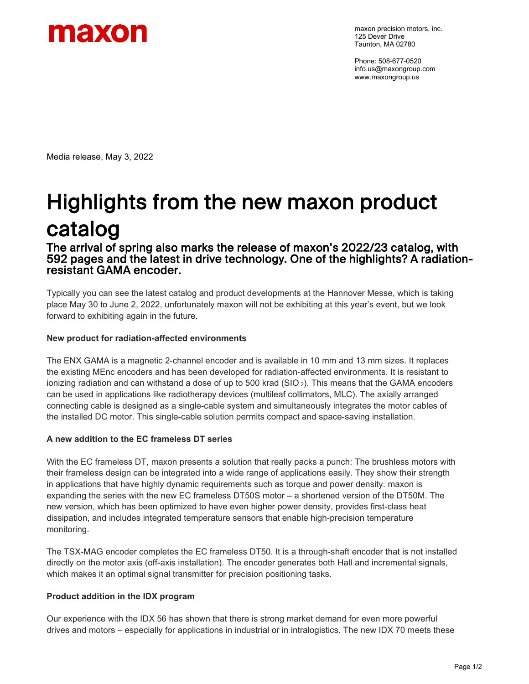

maxon precision motors, inc. 125 Dever Drive Taunton, MA 02780

Phone: 508-677-0520 info.us@maxongroup.com www.maxongroup.us

Media release, May 3, 2022

# Highlights from the new maxon product **catalog**<br>The arrival of spring also marks the release of maxon's 2022/23 catalog, with

592 pages and the latest in drive technology. One of the highlights? A radiation- resistant GAMA encoder.

Typically you can see the latest catalog and product developments at the Hannover Messe, which is taking place May 30 to June 2, 2022, unfortunately maxon will not be exhibiting at this year's event, but we look forward to exhibiting again in the future.

# **New product for radiation-affected environments**

The ENX GAMA is a magnetic 2-channel encoder and is available in 10 mm and 13 mm sizes. It replaces the existing MEnc encoders and has been developed for radiation-affected environments. It is resistant to ionizing radiation and can withstand a dose of up to 500 krad ( $SIO_2$ ). This means that the GAMA encoders can be used in applications like radiotherapy devices (multileaf collimators, MLC). The axially arranged connecting cable is designed as a single-cable system and simultaneously integrates the motor cables of the installed DC motor. This single-cable solution permits compact and space-saving installation.

# **A new addition to the EC frameless DT series**

With the EC frameless DT, maxon presents a solution that really packs a punch: The brushless motors with their frameless design can be integrated into a wide range of applications easily. They show their strength in applications that have highly dynamic requirements such as torque and power density. maxon is expanding the series with the new EC frameless DT50S motor – a shortened version of the DT50M. The new version, which has been optimized to have even higher power density, provides first-class heat dissipation, and includes integrated temperature sensors that enable high-precision temperature monitoring.

The TSX-MAG encoder completes the EC frameless DT50. It is a through-shaft encoder that is not installed directly on the motor axis (off-axis installation). The encoder generates both Hall and incremental signals, which makes it an optimal signal transmitter for precision positioning tasks.

# **Product addition in the IDX program**

Our experience with the IDX 56 has shown that there is strong market demand for even more powerful drives and motors – especially for applications in industrial or in intralogistics. The new IDX 70 meets these